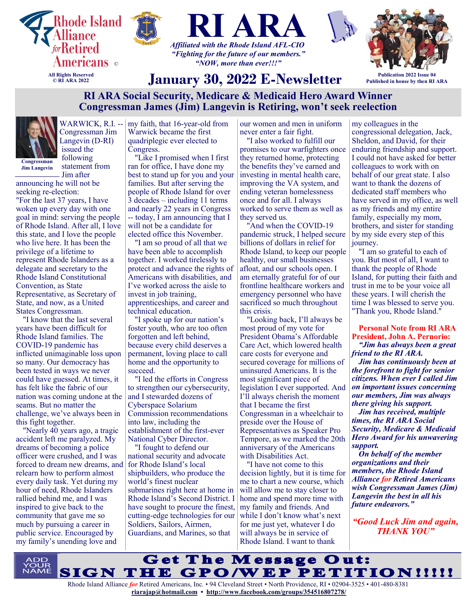



*"NOW, more than ever!!!"*



**Publication 2022 Issue 04 Published in house by then RI ARA**

# **January 30, 2022 E-Newsletter**

# **RI ARA Social Security, Medicare & Medicaid Hero Award Winner Congressman James (Jim) Langevin is Retiring, won't seek reelection**



Congressman Jim Langevin (D-RI) issued the following statement from

**Jim Langevin**

Jim after announcing he will not be

seeking re-election: "For the last 37 years, I have woken up every day with one goal in mind: serving the people of Rhode Island. After all, I love this state, and I love the people who live here. It has been the privilege of a lifetime to represent Rhode Islanders as a delegate and secretary to the Rhode Island Constitutional Convention, as State Representative, as Secretary of State, and now, as a United States Congressman.

"I know that the last several years have been difficult for Rhode Island families. The COVID-19 pandemic has inflicted unimaginable loss upon so many. Our democracy has been tested in ways we never could have guessed. At times, it has felt like the fabric of our nation was coming undone at the seams. But no matter the challenge, we've always been in this fight together.

"Nearly 40 years ago, a tragic accident left me paralyzed. My dreams of becoming a police officer were crushed, and I was forced to dream new dreams, and relearn how to perform almost every daily task. Yet during my hour of need, Rhode Islanders rallied behind me, and I was inspired to give back to the community that gave me so much by pursuing a career in public service. Encouraged by my family's unending love and

WARWICK, R.I. -- | my faith, that 16-year-old from Warwick became the first quadriplegic ever elected to Congress.

"Like I promised when I first ran for office, I have done my best to stand up for you and your families. But after serving the people of Rhode Island for over 3 decades – including 11 terms and nearly 22 years in Congress -- today, I am announcing that I will not be a candidate for elected office this November.

"I am so proud of all that we have been able to accomplish together. I worked tirelessly to protect and advance the rights of Americans with disabilities, and I've worked across the aisle to invest in job training, apprenticeships, and career and technical education.

"I spoke up for our nation's foster youth, who are too often forgotten and left behind, because every child deserves a permanent, loving place to call home and the opportunity to succeed.

"I led the efforts in Congress to strengthen our cybersecurity, and I stewarded dozens of Cyberspace Solarium Commission recommendations into law, including the establishment of the first-ever National Cyber Director.

"I fought to defend our national security and advocate for Rhode Island's local shipbuilders, who produce the world's finest nuclear submarines right here at home in Rhode Island's Second District. I have sought to procure the finest, cutting-edge technologies for our Soldiers, Sailors, Airmen, Guardians, and Marines, so that

our women and men in uniform never enter a fair fight.

"I also worked to fulfill our promises to our warfighters once they returned home, protecting the benefits they've earned and investing in mental health care, improving the VA system, and ending veteran homelessness once and for all. I always worked to serve them as well as they served us.

"And when the COVID-19 pandemic struck, I helped secure billions of dollars in relief for Rhode Island, to keep our people healthy, our small businesses afloat, and our schools open. I am eternally grateful for of our frontline healthcare workers and emergency personnel who have sacrificed so much throughout this crisis.

"Looking back, I'll always be most proud of my vote for President Obama's Affordable Care Act, which lowered health care costs for everyone and secured coverage for millions of uninsured Americans. It is the most significant piece of legislation I ever supported. And I'll always cherish the moment that I became the first Congressman in a wheelchair to preside over the House of Representatives as Speaker Pro Tempore, as we marked the 20th anniversary of the Americans with Disabilities Act.

"I have not come to this decision lightly, but it is time for me to chart a new course, which will allow me to stay closer to home and spend more time with my family and friends. And while I don't know what's next for me just yet, whatever I do will always be in service of Rhode Island. I want to thank

my colleagues in the congressional delegation, Jack, Sheldon, and David, for their enduring friendship and support. I could not have asked for better colleagues to work with on behalf of our great state. I also want to thank the dozens of dedicated staff members who have served in my office, as well as my friends and my entire family, especially my mom, brothers, and sister for standing by my side every step of this journey.

"I am so grateful to each of you. But most of all, I want to thank the people of Rhode Island, for putting their faith and trust in me to be your voice all these years. I will cherish the time I was blessed to serve you. "Thank you, Rhode Island."

**Personal Note from RI ARA President, John A. Pernorio:** *"Jim has always been a great friend to the RI ARA.*

*Jim has continuously been at the forefront to fight for senior citizens. When ever I called Jim on important issues concerning our members, Jim was always there giving his support.*

*Jim has received, multiple times, the RI ARA Social Security, Medicare & Medicaid Hero Award for his unwavering support.*

*On behalf of the member organizations and their members, the Rhode Island Alliance for Retired Americans wish Congressman James (Jim) Langevin the best in all his future endeavors."*

*"Good Luck Jim and again, THANK YOU"*

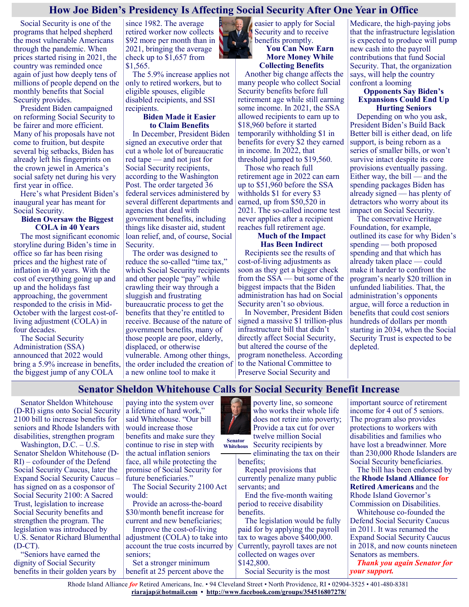#### **How Joe Biden's Presidency Is Affecting Social Security After One Year in Office**

Social Security is one of the programs that helped shepherd the most vulnerable Americans through the pandemic. When prices started rising in 2021, the country was reminded once again of just how deeply tens of millions of people depend on the monthly benefits that Social Security provides.

President Biden campaigned on reforming Social Security to be fairer and more efficient. Many of his proposals have not come to fruition, but despite several big setbacks, Biden has already left his fingerprints on the crown jewel in America's social safety net during his very first year in office.

Here's what President Biden's inaugural year has meant for Social Security.

#### **Biden Oversaw the Biggest COLA in 40 Years**

The most significant economic storyline during Biden's time in office so far has been rising prices and the highest rate of inflation in 40 years. With the cost of everything going up and up and the holidays fast approaching, the government responded to the crisis in Mid-October with the largest cost-ofliving adjustment (COLA) in four decades.

The Social Security Administration (SSA) announced that 2022 would bring a 5.9% increase in benefits, the biggest jump of any COLA

since 1982. The average retired worker now collects \$92 more per month than in 2021, bringing the average check up to \$1,657 from \$1,565.

The 5.9% increase applies not only to retired workers, but to eligible spouses, eligible disabled recipients, and SSI recipients.

#### **Biden Made it Easier to Claim Benefits**

In December, President Biden signed an executive order that cut a whole lot of bureaucratic red tape — and not just for Social Security recipients, according to the Washington Post. The order targeted 36 federal services administered by several different departments and agencies that deal with government benefits, including things like disaster aid, student loan relief, and, of course, Social Security.

The order was designed to reduce the so-called "time tax," which Social Security recipients and other people "pay" while crawling their way through a sluggish and frustrating bureaucratic process to get the benefits that they're entitled to receive. Because of the nature of government benefits, many of those people are poor, elderly, displaced, or otherwise vulnerable. Among other things, the order included the creation of a new online tool to make it

easier to apply for Social Security and to receive **benefits promptly. You Can Now Earn**

**More Money While Collecting Benefits**

Another big change affects the many people who collect Social Security benefits before full retirement age while still earning some income. In 2021, the SSA allowed recipients to earn up to \$18,960 before it started temporarily withholding \$1 in benefits for every \$2 they earned in income. In 2022, that threshold jumped to \$19,560.

Those who reach full retirement age in 2022 can earn up to \$51,960 before the SSA withholds \$1 for every \$3 earned, up from \$50,520 in 2021. The so-called income test never applies after a recipient reaches full retirement age.

#### **Much of the Impact Has Been Indirect**

Recipients see the results of cost-of-living adjustments as soon as they get a bigger check from the SSA — but some of the biggest impacts that the Biden administration has had on Social Security aren't so obvious.

In November, President Biden signed a massive \$1 trillion-plus infrastructure bill that didn't directly affect Social Security, but altered the course of the program nonetheless. According to the National Committee to Preserve Social Security and

Medicare, the high-paying jobs that the infrastructure legislation is expected to produce will pump new cash into the payroll contributions that fund Social Security. That, the organization says, will help the country confront a looming

#### **Opponents Say Biden's Expansions Could End Up Hurting Seniors**

Depending on who you ask, President Biden's Build Back Better bill is either dead, on life support, is being reborn as a series of smaller bills, or won't survive intact despite its core provisions eventually passing. Either way, the bill — and the spending packages Biden has already signed — has plenty of detractors who worry about its impact on Social Security.

The conservative Heritage Foundation, for example, outlined its case for why Biden's spending — both proposed spending and that which has already taken place — could make it harder to confront the program's nearly \$20 trillion in unfunded liabilities. That, the administration's opponents argue, will force a reduction in benefits that could cost seniors hundreds of dollars per month starting in 2034, when the Social Security Trust is expected to be depleted.

#### **Senator Sheldon Whitehouse Calls for Social Security Benefit Increase**

Senator Sheldon Whitehouse (D-RI) signs onto Social Security 2100 bill to increase benefits for seniors and Rhode Islanders with disabilities, strengthen program

Washington, D.C. – U.S. Senator Sheldon Whitehouse (D-RI) – cofounder of the Defend Social Security Caucus, later the Expand Social Security Caucus – has signed on as a cosponsor of Social Security 2100: A Sacred Trust, legislation to increase Social Security benefits and strengthen the program. The legislation was introduced by U.S. Senator Richard Blumenthal (D-CT).

"Seniors have earned the dignity of Social Security benefits in their golden years by

paying into the system over a lifetime of hard work," said Whitehouse. "Our bill would increase those benefits and make sure they continue to rise in step with the actual inflation seniors face, all while protecting the promise of Social Security for future beneficiaries."

The Social Security 2100 Act would:

Provide an across-the-board \$30/month benefit increase for current and new beneficiaries;

Improve the cost-of-living adjustment (COLA) to take into account the true costs incurred by seniors;

Set a stronger minimum benefit at 25 percent above the poverty line, so someone who works their whole life does not retire into poverty; Provide a tax cut for over twelve million Social

Security recipients by eliminating the tax on their benefits;

Repeal provisions that currently penalize many public servants; and

End the five-month waiting period to receive disability benefits.

The legislation would be fully paid for by applying the payroll tax to wages above \$400,000. Currently, payroll taxes are not collected on wages over \$142,800. Social Security is the most

important source of retirement income for 4 out of 5 seniors. The program also provides protections to workers with disabilities and families who have lost a breadwinner. More than 230,000 Rhode Islanders are Social Security beneficiaries.

The bill has been endorsed by the **Rhode Island Alliance for Retired Americans** and the Rhode Island Governor's Commission on Disabilities.

Whitehouse co-founded the Defend Social Security Caucus in 2011. It was renamed the Expand Social Security Caucus in 2018, and now counts nineteen Senators as members.

*Thank you again Senator for your support.*

Rhode Island Alliance *for* Retired Americans, Inc. • 94 Cleveland Street • North Providence, RI • 02904-3525 • 401-480-8381 **[riarajap@hotmail.com](mailto:riarajap@hotmail.com) • [http://www.facebook.com/groups/354516807278/](https://www.facebook.com/groups/354516807278/)**



**Whitehous**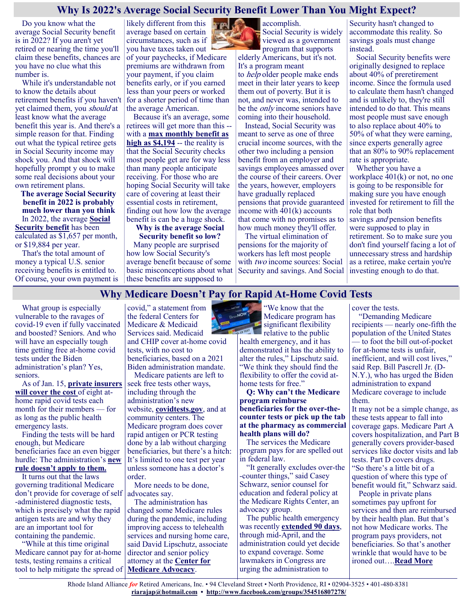#### **Why Is 2022's Average Social Security Benefit Lower Than You Might Expect?**

Do you know what the average Social Security benefit is in 2022? If you aren't yet retired or nearing the time you'll claim these benefits, chances are you have no clue what this number is.

While it's understandable not to know the details about retirement benefits if you haven't yet claimed them, you should at least know what the average benefit this year is. And there's a simple reason for that. Finding out what the typical retiree gets in Social Security income may shock you. And that shock will hopefully prompt y ou to make some real decisions about your own retirement plans.

**The average Social Security benefit in 2022 is probably much lower than you think** In 2022, the average **[Social](https://www.fool.com/retirement/social-security/?utm_source=msnrss&utm_medium=feed&utm_campaign=article&referring_guid=31d638b2-871f-4dc1-b0a2-b8ad2ee7778f)  [Security benefit](https://www.fool.com/retirement/social-security/?utm_source=msnrss&utm_medium=feed&utm_campaign=article&referring_guid=31d638b2-871f-4dc1-b0a2-b8ad2ee7778f)** has been calculated as \$1,657 per month,

or \$19,884 per year. That's the total amount of money a typical U.S. senior receiving benefits is entitled to.

Of course, your own payment is

average based on certain circumstances, such as if you have taxes taken out of your paychecks, if Medicare premiums are withdrawn from your payment, if you claim benefits early, or if you earned less than your peers or worked for a shorter period of time than the average American.

likely different from this

Because it's an average, some retirees will get more than this - with a **[max monthly benefit as](https://www.fool.com/investing/2022/01/07/how-will-your-social-security-stack-up-to-the-4194/?utm_source=msnrss&utm_medium=feed&utm_campaign=article&referring_guid=31d638b2-871f-4dc1-b0a2-b8ad2ee7778f)  [high as \\$4,194](https://www.fool.com/investing/2022/01/07/how-will-your-social-security-stack-up-to-the-4194/?utm_source=msnrss&utm_medium=feed&utm_campaign=article&referring_guid=31d638b2-871f-4dc1-b0a2-b8ad2ee7778f)** -- the reality is that the Social Security checks most people get are for way less than many people anticipate receiving. For those who are hoping Social Security will take care of covering at least their essential costs in retirement, finding out how low the average benefit is can be a huge shock.

#### **Why is the average Social Security benefit so low?**

Many people are surprised how low Social Security's average benefit because of some basic misconceptions about what these benefits are supposed to



accomplish. Social Security is widely viewed as a government program that supports

elderly Americans, but it's not. It's a program meant to help older people make ends meet in their later years to keep them out of poverty. But it is not, and never was, intended to be the only income seniors have coming into their household.

Instead, Social Security was meant to serve as one of three crucial income sources, with the other two including a pension benefit from an employer and savings employees amassed over the course of their careers. Over the years, however, employers have gradually replaced pensions that provide guaranteed income with  $401(k)$  accounts that come with no promises as to how much money they'll offer.

The virtual elimination of pensions for the majority of workers has left most people with two income sources: Social Security and savings. And Social Security hasn't changed to accommodate this reality. So savings goals must change instead.

Social Security benefits were originally designed to replace about 40% of preretirement income. Since the formula used to calculate them hasn't changed and is unlikely to, they're still intended to do that. This means most people must save enough to also replace about 40% to 50% of what they were earning, since experts generally agree that an 80% to 90% replacement rate is appropriate.

Whether you have a workplace  $401(k)$  or not, no one is going to be responsible for making sure you have enough invested for retirement to fill the role that both savings *and* pension benefits were supposed to play in retirement. So to make sure you don't find yourself facing a lot of unnecessary stress and hardship as a retiree, make certain you're investing enough to do that.

# **Why Medicare Doesn't Pay for Rapid At-Home Covid Tests**

What group is especially vulnerable to the ravages of covid-19 even if fully vaccinated and boosted? Seniors. And who will have an especially tough time getting free at-home covid tests under the Biden administration's plan? Yes, seniors.

As of Jan. 15, **[private insurers](https://www.hhs.gov/about/news/2022/01/10/biden-harris-administration-requires-insurance-companies-group-health-plans-to-cover-cost-at-home-covid-19-tests-increasing-access-free-tests.html)  [will cover the cost](https://www.hhs.gov/about/news/2022/01/10/biden-harris-administration-requires-insurance-companies-group-health-plans-to-cover-cost-at-home-covid-19-tests-increasing-access-free-tests.html)** of eight athome rapid covid tests each month for their members — for as long as the public health emergency lasts.

Finding the tests will be hard enough, but Medicare beneficiaries face an even bigger hurdle: The administration's **[new](https://www.cms.gov/files/document/11022-faqs-otc-testing-guidance.pdf)  [rule doesn't apply to them.](https://www.cms.gov/files/document/11022-faqs-otc-testing-guidance.pdf)**

It turns out that the laws governing traditional Medicare don't provide for coverage of self advocates say. -administered diagnostic tests, which is precisely what the rapid antigen tests are and why they are an important tool for containing the pandemic.

"While at this time original Medicare cannot pay for at-home tests, testing remains a critical tool to help mitigate the spread of **[Medicare Advocacy](https://medicareadvocacy.org/wp-content/uploads/2021/12/Covid-Advocates-Guide-November-2021.pdf)**.

covid," a statement from the federal Centers for Medicare & Medicaid Services said. Medicaid and CHIP cover at-home covid

tests, with no cost to beneficiaries, based on a 2021 Biden administration mandate.

Medicare patients are left to seek free tests other ways, including through the administration's new website, **[covidtests.gov](http://covidtests.gov/)**, and at community centers. The Medicare program does cover rapid antigen or PCR testing done by a lab without charging beneficiaries, but there's a hitch: It's limited to one test per year unless someone has a doctor's order.

More needs to be done,

The administration has changed some Medicare rules during the pandemic, including improving access to telehealth services and nursing home care, said David Lipschutz, associate director and senior policy attorney at the **[Center for](https://medicareadvocacy.org/wp-content/uploads/2021/12/Covid-Advocates-Guide-November-2021.pdf)** 



"We know that the Medicare program has significant flexibility relative to the public

health emergency, and it has demonstrated it has the ability to alter the rules," Lipschutz said. "We think they should find the flexibility to offer the covid athome tests for free."

**Q: Why can't the Medicare program reimburse beneficiaries for the over-thecounter tests or pick up the tab at the pharmacy as commercial health plans will do?**

The services the Medicare program pays for are spelled out in federal law.

"It generally excludes over-the -counter things," said Casey Schwarz, senior counsel for education and federal policy at the Medicare Rights Center, an advocacy group.

The public health emergency was recently **[extended 90 days](https://aspr.hhs.gov/legal/PHE/Pages/COVID19-14Jan2022.aspx)**, through mid-April, and the administration could yet decide to expand coverage. Some lawmakers in Congress are urging the administration to

cover the tests.

"Demanding Medicare recipients — nearly one-fifth the population of the United States — to foot the bill out-of-pocket for at-home tests is unfair, inefficient, and will cost lives," said Rep. Bill Pascrell Jr. (D-N.Y.), who has urged the Biden administration to expand Medicare coverage to include them.

It may not be a simple change, as these tests appear to fall into coverage gaps. Medicare Part A covers hospitalization, and Part B generally covers provider-based services like doctor visits and lab tests. Part D covers drugs. "So there's a little bit of a question of where this type of benefit would fit," Schwarz said.

People in private plans sometimes pay upfront for services and then are reimbursed by their health plan. But that's not how Medicare works. The program pays providers, not beneficiaries. So that's another wrinkle that would have to be ironed out….**[Read More](https://khn.org/news/article/why-medicare-doesnt-pay-for-rapid-at-home-covid-tests/)**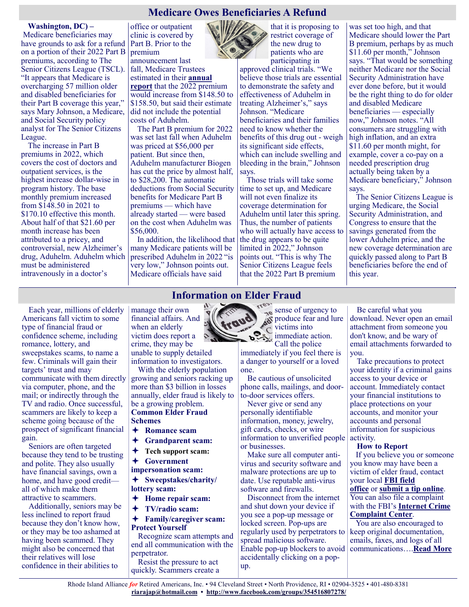#### **Medicare Owes Beneficiaries A Refund**

#### **Washington, DC) –**

Medicare beneficiaries may have grounds to ask for a refund Part B. Prior to the on a portion of their 2022 Part B premiums, according to The Senior Citizens League (TSCL). "It appears that Medicare is overcharging 57 million older and disabled beneficiaries for their Part B coverage this year," says Mary Johnson, a Medicare, and Social Security policy analyst for The Senior Citizens League.

The increase in Part B premiums in 2022, which covers the cost of doctors and outpatient services, is the highest increase dollar-wise in program history. The base monthly premium increased from \$148.50 in 2021 to \$170.10 effective this month. About half of that \$21.60 per month increase has been attributed to a pricey, and controversial, new Alzheimer's drug, Aduhelm. Aduhelm which must be administered intravenously in a doctor's

office or outpatient clinic is covered by premium announcement last

fall, Medicare Trustees estimated in their **[annual](https://www.cms.gov/files/document/2021-medicare-trustees-report.pdf)  [report](https://www.cms.gov/files/document/2021-medicare-trustees-report.pdf)** that the 2022 premium would increase from \$148.50 to \$158.50, but said their estimate did not include the potential costs of Aduhelm.

The Part B premium for 2022 was set last fall when Aduhelm was priced at \$56,000 per patient. But since then, Aduhelm manufacturer Biogen has cut the price by almost half, to \$28,200. The automatic deductions from Social Security benefits for Medicare Part B premiums — which have already started — were based on the cost when Aduhelm was \$56,000.

In addition, the likelihood that many Medicare patients will be prescribed Aduhelm in 2022 "is very low," Johnson points out. Medicare officials have said

participating in approved clinical trials. "We believe those trials are essential to demonstrate the safety and effectiveness of Aduhelm in treating Alzheimer's," says Johnson. "Medicare beneficiaries and their families need to know whether the benefits of this drug out - weigh its significant side effects, which can include swelling and bleeding in the brain," Johnson says.

that it is proposing to restrict coverage of the new drug to patients who are

Those trials will take some time to set up, and Medicare will not even finalize its coverage determination for Aduhelm until later this spring. Thus, the number of patients who will actually have access to the drug appears to be quite limited in 2022," Johnson points out. "This is why The Senior Citizens League feels that the 2022 Part B premium

was set too high, and that Medicare should lower the Part B premium, perhaps by as much \$11.60 per month," Johnson says. "That would be something neither Medicare nor the Social Security Administration have ever done before, but it would be the right thing to do for older and disabled Medicare beneficiaries — especially now," Johnson notes. "All consumers are struggling with high inflation, and an extra \$11.60 per month might, for example, cover a co-pay on a needed prescription drug actually being taken by a Medicare beneficiary," Johnson says.

The Senior Citizens League is urging Medicare, the Social Security Administration, and Congress to ensure that the savings generated from the lower Aduhelm price, and the new coverage determination are quickly passed along to Part B beneficiaries before the end of this year.

manage their own financial affairs. And when an elderly victim does report a

**Information on Elder Fraud**

crime, they may be unable to supply detailed information to investigators.

With the elderly population growing and seniors racking up more than \$3 billion in losses annually, elder fraud is likely to be a growing problem. **Common Elder Fraud Schemes**

- **Romance scam**
- **Grandparent scam:**
- **Tech support scam:**
- **Government**
- **impersonation scam:**

**Sweepstakes/charity/**

- **lottery scam:**
- **Home repair scam:**
- **TV/radio scam:**

**Family/caregiver scam: Protect Yourself**

Recognize scam attempts and end all communication with the perpetrator. Resist the pressure to act

quickly. Scammers create a

 $-3y$ sense of urgency to produce fear and lure victims into

 $\sum_{i=1}^{\infty}$  immediate action. Call the police immediately if you feel there is a danger to yourself or a loved one.

Be cautious of unsolicited phone calls, mailings, and doorto-door services offers.

Never give or send any personally identifiable information, money, jewelry, gift cards, checks, or wire information to unverified people or businesses.

Make sure all computer antivirus and security software and malware protections are up to date. Use reputable anti-virus software and firewalls.

Disconnect from the internet and shut down your device if you see a pop-up message or locked screen. Pop-ups are regularly used by perpetrators to spread malicious software. Enable pop-up blockers to avoid accidentally clicking on a popup.

Be careful what you download. Never open an email attachment from someone you don't know, and be wary of email attachments forwarded to you.

Take precautions to protect your identity if a criminal gains access to your device or account. Immediately contact your financial institutions to place protections on your accounts, and monitor your accounts and personal information for suspicious activity.

#### **How to Report**

If you believe you or someone you know may have been a victim of elder fraud, contact your local **[FBI field](https://www.fbi.gov/contact-us/field-offices)  [office](https://www.fbi.gov/contact-us/field-offices)** or **[submit a tip online](http://tips.fbi.gov/)**. You can also file a complaint with the FBI's **[Internet Crime](http://www.ic3.gov/)  [Complaint Center](http://www.ic3.gov/)**.

You are also encouraged to keep original documentation, emails, faxes, and logs of all communications….**[Read More](https://www.fbi.gov/scams-and-safety/common-scams-and-crimes/elder-fraud)**

Rhode Island Alliance *for* Retired Americans, Inc. • 94 Cleveland Street • North Providence, RI • 02904-3525 • 401-480-8381 **[riarajap@hotmail.com](mailto:riarajap@hotmail.com) • [http://www.facebook.com/groups/354516807278/](https://www.facebook.com/groups/354516807278/)**

Americans fall victim to some type of financial fraud or confidence scheme, including romance, lottery, and sweepstakes scams, to name a few. Criminals will gain their targets' trust and may communicate with them directly via computer, phone, and the mail; or indirectly through the TV and radio. Once successful, scammers are likely to keep a scheme going because of the prospect of significant financial

Each year, millions of elderly

gain. Seniors are often targeted because they tend to be trusting and polite. They also usually have financial savings, own a

home, and have good credit all of which make them attractive to scammers.

Additionally, seniors may be less inclined to report fraud because they don't know how, or they may be too ashamed at having been scammed. They might also be concerned that their relatives will lose confidence in their abilities to

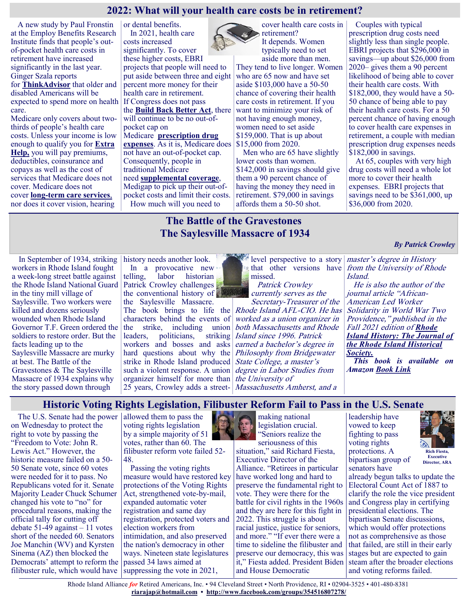# **2022: What will your health care costs be in retirement?**

A new study by Paul Fronstin at the Employ Benefits Research Institute finds that people's outof-pocket health care costs in retirement have increased significantly in the last year. Ginger Szala reports

for **[ThinkAdvisor](https://www.thinkadvisor.com/2022/01/13/medicare-recipients-get-ready-for-higher-costs-ebri/?slreturn=20220017161336)** that older and disabled Americans will be expected to spend more on health care.

Medicare only covers about twothirds of people's health care costs. Unless your income is low enough to qualify you for **[Extra](https://justcareusa.org/five-programs-that-lower-your-costs-if-you-have-medicare/)  [Help,](https://justcareusa.org/five-programs-that-lower-your-costs-if-you-have-medicare/)** you will pay premiums, deductibles, coinsurance and copays as well as the cost of services that Medicare does not cover. Medicare does not cover **long-[term care services](https://justcareusa.org/medicaid-medicare-and-long-term-care/)**, nor does it cover vision, hearing

or dental benefits. In 2021, health care costs increased significantly. To cover these higher costs, EBRI projects that people will need to put aside between three and eight percent more money for their health care in retirement. If Congress does not pass the **[Build Back Better Act](https://justcareusa.org/senator-manchin-must-support-lower-drug-prices-in-build-back-better-act/)**, there will continue to be no out-ofpocket cap on Medicare **[prescription drug](https://justcareusa.org/2022-medicare-part-d-coverage-and-costs/)  [expenses](https://justcareusa.org/2022-medicare-part-d-coverage-and-costs/)**. As it is, Medicare does not have an out-of-pocket cap. Consequently, people in traditional Medicare need **[supplemental coverage](https://justcareusa.org/four-things-to-think-about-when-choosing-a-plan-to-fill-gaps-in-medicare-a-medigap-or-medicare-supplemental-insurance-plan/)**, Medigap to pick up their out-of-

pocket costs and limit their costs. How much will you need to

cover health care costs in retirement? It depends. Women typically need to set aside more than men.

They tend to live longer. Women who are 65 now and have set aside \$103,000 have a 50-50 chance of covering their health care costs in retirement. If you want to minimize your risk of not having enough money, women need to set aside \$159,000. That is up about \$15,000 from 2020.

Men who are 65 have slightly lower costs than women. \$142,000 in savings should give them a 90 percent chance of having the money they need in retirement. \$79,000 in savings affords them a 50-50 shot.

Couples with typical prescription drug costs need slightly less than single people. EBRI projects that \$296,000 in savings—up about \$26,000 from 2020– gives them a 90 percent likelihood of being able to cover their health care costs. With \$182,000, they would have a 50- 50 chance of being able to pay their health care costs. For a 50 percent chance of having enough to cover health care expenses in retirement, a couple with median prescription drug expenses needs \$182,000 in savings.

At 65, couples with very high drug costs will need a whole lot more to cover their health expenses. EBRI projects that savings need to be \$361,000, up \$36,000 from 2020.

## **The Battle of the Gravestones The Saylesville Massacre of 1934**

In September of 1934, striking history needs another look. workers in Rhode Island fought a week-long street battle against the Rhode Island National Guard Patrick Crowley challenges in the tiny mill village of Saylesville. Two workers were killed and dozens seriously wounded when Rhode Island Governor T.F. Green ordered the soldiers to restore order. But the facts leading up to the Saylesville Massacre are murky at best. The Battle of the Gravestones & The Saylesville Massacre of 1934 explains why the story passed down through

In a provocative new telling, labor historian the conventional history of the Saylesville Massacre.

The book brings to life the characters behind the events of the strike, including union leaders, politicians, striking workers and bosses and asks hard questions about why the strike in Rhode Island produced such a violent response. A union organizer himself for more than 25 years, Crowley adds a street-

level perspective to a story *master's degree in History* missed.

 Patrick Crowley currently serves as the

Secretary-Treasurer of the Rhode Island AFL-CIO. He has worked as a union organizer in both Massachusetts and Rhode Island since 1996. Patrick earned a bachelor's degree in Philosophy from Bridgewater State College, a master's degree in Labor Studies from the University of Massachusetts Amherst, and a

that other versions have from the University of Rhode Island.

*By Patrick Crowley*

He is also the author of the journal article "African-American Led Worker Solidarity in World War Two Providence," published in the Fall 2021 edition of *[Rhode](https://www.rihs.org/education/journal/)  [Island History: The Journal of](https://www.rihs.org/education/journal/)  [the Rhode Island Historical](https://www.rihs.org/education/journal/)  [Society.](https://www.rihs.org/education/journal/)*

*This book is available on Amazon [Book Link](https://www.saylesvillemassacre.com/?fbclid=IwAR23cK5eOgyQusjdqjh9wEpuBDPPXD2C0JeiTmf73h785LeInkaWdOxvKbQ)*

**Historic Voting Rights Legislation, Filibuster Reform Fail to Pass in the U.S. Senate** 

The U.S. Senate had the power on Wednesday to protect the right to vote by passing the "Freedom to Vote: John R. Lewis Act." However, the historic measure failed on a 50- 50 Senate vote, since 60 votes were needed for it to pass. No Republicans voted for it. Senate Majority Leader Chuck Schumer changed his vote to "no" for procedural reasons, making the official tally for cutting off debate  $51-49$  against  $-11$  votes short of the needed 60. Senators Joe Manchin (WV) and Kyrsten Sinema (AZ) then blocked the Democrats' attempt to reform the filibuster rule, which would have

allowed them to pass the voting rights legislation by a simple majority of 51 votes, rather than 60. The filibuster reform vote failed 52- 48.

Passing the voting rights measure would have restored key protections of the Voting Rights Act, strengthened vote-by-mail, expanded automatic voter registration and same day registration, protected voters and election workers from intimidation, and also preserved the nation's democracy in other ways. Nineteen state legislatures passed 34 laws aimed at suppressing the vote in 2021,

making national legislation crucial. "Seniors realize the

seriousness of this situation," said Richard Fiesta, Executive Director of the Alliance. "Retirees in particular have worked long and hard to preserve the fundamental right to vote. They were there for the battle for civil rights in the 1960s and they are here for this fight in 2022. This struggle is about racial justice, justice for seniors, and more." "If ever there were a time to sideline the filibuster and preserve our democracy, this was it," Fiesta added. President Biden and House Democratic

leadership have vowed to keep fighting to pass voting rights protections. A bipartisan group of senators have



**Executive Director, ARA**

already begun talks to update the Electoral Count Act of 1887 to clarify the role the vice president and Congress play in certifying presidential elections. The bipartisan Senate discussions, which would offer protections not as comprehensive as those that failed, are still in their early stages but are expected to gain steam after the broader elections and voting reforms failed.

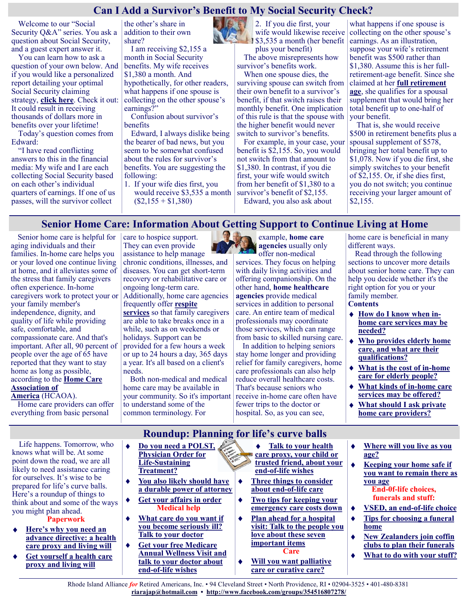#### **Can I Add a Survivor's Benefit to My Social Security Check?**

Welcome to our "Social Security Q&A" series. You ask a question about Social Security, and a guest expert answer it.

You can learn how to ask a question of your own below. And if you would like a personalized report detailing your optimal Social Security claiming strategy, **[click here](https://www.moneytalksnews.com/solutions/social-security/)**. Check it out: It could result in receiving thousands of dollars more in benefits over your lifetime!

Today's question comes from Edward:

"I have read conflicting answers to this in the financial media: My wife and I are each collecting Social Security based on each other's individual quarters of earnings. If one of us passes, will the survivor collect

the other's share in addition to their own share?

I am receiving \$2,155 a month in Social Security benefits. My wife receives \$1,380 a month. And hypothetically, for other readers, what happens if one spouse is collecting on the other spouse's earnings?"

Confusion about survivor's benefits

Edward, I always dislike being the bearer of bad news, but you seem to be somewhat confused about the rules for survivor's benefits. You are suggesting the following:

1. If your wife dies first, you would receive \$3,535 a month  $($2,155 + $1,380)$ 



2. If you die first, your wife would likewise receive **183,535 a month (her benefit)** plus your benefit)

The above misrepresents how survivor's benefits work.

When one spouse dies, the surviving spouse can switch from their own benefit to a survivor's benefit, if that switch raises their monthly benefit. One implication of this rule is that the spouse with the higher benefit would never switch to survivor's benefits.

For example, in your case, your benefit is \$2,155. So, you would not switch from that amount to \$1,380. In contrast, if you die first, your wife would switch from her benefit of \$1,380 to a survivor's benefit of \$2,155. Edward, you also ask about

what happens if one spouse is collecting on the other spouse's earnings. As an illustration, suppose your wife's retirement benefit was \$500 rather than \$1,380. Assume this is her fullretirement-age benefit. Since she claimed at her **[full retirement](https://www.moneytalksnews.com/social-security-terms/#3-full-retirement-age-fra)  [age](https://www.moneytalksnews.com/social-security-terms/#3-full-retirement-age-fra)**, she qualifies for a spousal supplement that would bring her total benefit up to one-half of your benefit.

That is, she would receive \$500 in retirement benefits plus a spousal supplement of \$578, bringing her total benefit up to \$1,078. Now if you die first, she simply switches to your benefit of \$2,155. Or, if she dies first, you do not switch; you continue receiving your larger amount of \$2,155.

#### **Senior Home Care: Information About Getting Support to Continue Living at Home**

Senior home care is helpful for aging individuals and their families. In-home care helps you or your loved one continue living at home, and it alleviates some of the stress that family caregivers often experience. In-home caregivers work to protect your or your family member's independence, dignity, and quality of life while providing safe, comfortable, and compassionate care. And that's important. After all, 90 percent of people over the age of 65 have reported that they want to stay home as long as possible, according to the **[Home Care](https://www.hcaoa.org/uploads/1/3/3/0/133041104/infographic__secured_.pdf)  [Association of](https://www.hcaoa.org/uploads/1/3/3/0/133041104/infographic__secured_.pdf)  [America](https://www.hcaoa.org/uploads/1/3/3/0/133041104/infographic__secured_.pdf)** (HCAOA).

care to hospice support. They can even provide assistance to help manage chronic conditions, illnesses, and diseases. You can get short-term recovery or rehabilitative care or ongoing long-term care. Additionally, home care agencies

frequently offer **[respite](https://www.greatseniorliving.com/articles/respite-care)  [services](https://www.greatseniorliving.com/articles/respite-care)** so that family caregivers are able to take breaks once in a while, such as on weekends or holidays. Support can be provided for a few hours a week or up to 24 hours a day, 365 days a year. It's all based on a client's needs.

Both non-medical and medical home care may be available in your community. So it's important to understand some of the common terminology. For



example, **home care agencies** usually only offer non-medical services. They focus on helping with daily living activities and offering companionship. On the other hand, **home healthcare agencies** provide medical services in addition to personal care. An entire team of medical professionals may coordinate those services, which can range from basic to skilled nursing care.

In addition to helping seniors stay home longer and providing relief for family caregivers, home care professionals can also help reduce overall healthcare costs. That's because seniors who receive in-home care often have fewer trips to the doctor or hospital. So, as you can see,

home care is beneficial in many different ways.

Read through the following sections to uncover more details about senior home care. They can help you decide whether it's the right option for you or your family member. **Contents**

- **[How do I know when in](https://www.greatseniorliving.com/living-options/home-care#in-home-care-services)[home care services may be](https://www.greatseniorliving.com/living-options/home-care#in-home-care-services)  [needed?](https://www.greatseniorliving.com/living-options/home-care#in-home-care-services)**
- **[Who provides elderly home](https://www.greatseniorliving.com/living-options/home-care#qualifications)  [care, and what are their](https://www.greatseniorliving.com/living-options/home-care#qualifications)  [qualifications?](https://www.greatseniorliving.com/living-options/home-care#qualifications)**
- **[What is the cost of in](https://www.greatseniorliving.com/living-options/home-care#cost)-home [care for elderly people?](https://www.greatseniorliving.com/living-options/home-care#cost)**
- **[What kinds of in](https://www.greatseniorliving.com/living-options/home-care#what-kinds)-home care [services may be offered?](https://www.greatseniorliving.com/living-options/home-care#what-kinds)**
- **[What should I ask private](https://www.greatseniorliving.com/living-options/home-care#private-home-care)**   $\bullet$ **[home care providers?](https://www.greatseniorliving.com/living-options/home-care#private-home-care)**

Life happens. Tomorrow, who knows what will be. At some point down the road, we are all likely to need assistance caring for ourselves. It's wise to be prepared for life's curve balls. Here's a roundup of things to think about and some of the ways you might plan ahead.

Home care providers can offer everything from basic personal

**Paperwork**

- **[Here's why you need an](https://justcareusa.org/six-reasons-why-you-and-your-loved-ones-should-create-advance-directives/)  [advance directive: a health](https://justcareusa.org/six-reasons-why-you-and-your-loved-ones-should-create-advance-directives/)  [care proxy and living will](https://justcareusa.org/six-reasons-why-you-and-your-loved-ones-should-create-advance-directives/)**
- **[Get yourself a health care](https://justcareusa.org/hipaa-and-why-you-need-a-health-care-proxy/)  [proxy and living will](https://justcareusa.org/hipaa-and-why-you-need-a-health-care-proxy/)**
- $\blacktriangle$ **[Do you need a POLST,](https://justcareusa.org/do-you-need-a-polst-physician-order-for-life-sustaining-treatment/)  [Physician Order for](https://justcareusa.org/do-you-need-a-polst-physician-order-for-life-sustaining-treatment/)  Life-[Sustaining](https://justcareusa.org/do-you-need-a-polst-physician-order-for-life-sustaining-treatment/)  [Treatment?](https://justcareusa.org/do-you-need-a-polst-physician-order-for-life-sustaining-treatment/)**
- **[You also likely should have](https://justcareusa.org/whats-a-durable-power-of-attorney/)  [a durable power of attorney](https://justcareusa.org/whats-a-durable-power-of-attorney/)**
- **[Get your affairs in order](https://justcareusa.org/five-steps-to-get-your-affairs-in-order-in-case-of-emergency/) Medical help**
- **[What care do you want if](https://justcareusa.org/medicare-covers-advance-care-planning/)  [you become seriously ill?](https://justcareusa.org/medicare-covers-advance-care-planning/)  [Talk to your doctor](https://justcareusa.org/medicare-covers-advance-care-planning/)**
- **[Get your free Medicare](https://justcareusa.org/more-people-benefiting-from-medicare-coverage-of-advance-care-planning/)  [Annual Wellness Visit and](https://justcareusa.org/more-people-benefiting-from-medicare-coverage-of-advance-care-planning/)  [talk to your doctor about](https://justcareusa.org/more-people-benefiting-from-medicare-coverage-of-advance-care-planning/)  end-of-[life wishes](https://justcareusa.org/more-people-benefiting-from-medicare-coverage-of-advance-care-planning/)**
- $\bullet$ **[Talk to your health](https://justcareusa.org/improve-your-health-with-a-health-care-buddy/)  [care proxy, your child or](https://justcareusa.org/improve-your-health-with-a-health-care-buddy/)  [trusted friend, about your](https://justcareusa.org/improve-your-health-with-a-health-care-buddy/)  end-of-[life wishes](https://justcareusa.org/improve-your-health-with-a-health-care-buddy/)**
- **[Three things to consider](https://justcareusa.org/three-things-to-consider-about-end-of-life-care/)  [about end](https://justcareusa.org/three-things-to-consider-about-end-of-life-care/)-of-life care**
- **[Two tips for keeping your](https://justcareusa.org/two-tips-for-keeping-your-emergency-care-costs-down/)  [emergency care costs down](https://justcareusa.org/two-tips-for-keeping-your-emergency-care-costs-down/)**
- **[Plan ahead for a hospital](https://justcareusa.org/plan-ahead-for-a-hospital-visit-talk-to-the-people-you-love-about-these-seven-important-items/)**   $\bullet$ **[visit: Talk to the people you](https://justcareusa.org/plan-ahead-for-a-hospital-visit-talk-to-the-people-you-love-about-these-seven-important-items/)  [love about these seven](https://justcareusa.org/plan-ahead-for-a-hospital-visit-talk-to-the-people-you-love-about-these-seven-important-items/)  [important items](https://justcareusa.org/plan-ahead-for-a-hospital-visit-talk-to-the-people-you-love-about-these-seven-important-items/) Care**
- **[Will you want palliative](https://justcareusa.org/end-of-life-decisions-can-be-hard-time-limited-trials-can-help/)  [care or curative care?](https://justcareusa.org/end-of-life-decisions-can-be-hard-time-limited-trials-can-help/)**

 $\ddot{\bullet}$ **[Where will you live as you](https://justcareusa.org/housing-options-for-older-adults/)  [age?](https://justcareusa.org/housing-options-for-older-adults/)**

 $\blacklozenge$ 

- **[Keeping your home safe if](https://justcareusa.org/aging-in-place-safety-at-home/)  [you want to remain there as](https://justcareusa.org/aging-in-place-safety-at-home/)  [you age](https://justcareusa.org/aging-in-place-safety-at-home/) End-0f-life choices,**
- **funerals and stuff:**
- **[VSED, an end](https://justcareusa.org/vsed-an-end-of-life-choice/)-of-life choice** ۰
- **[Tips for choosing a funeral](https://justcareusa.org/six-tips-for-choosing-a-funeral-home-and-funeral-services/)**   $\bullet$ **[home](https://justcareusa.org/six-tips-for-choosing-a-funeral-home-and-funeral-services/)**
- **[New Zealanders join coffin](https://justcareusa.org/new-zealanders-join-coffin-clubs-to-plan-their-funerals/)**   $\ddot{\bullet}$ **[clubs to plan their funerals](https://justcareusa.org/new-zealanders-join-coffin-clubs-to-plan-their-funerals/)**
- **[What to do with your stuff?](https://justcareusa.org/talking-to-your-kids-about-your-stuff/)**  $\bullet$

**Roundup: Planning for life's curve balls**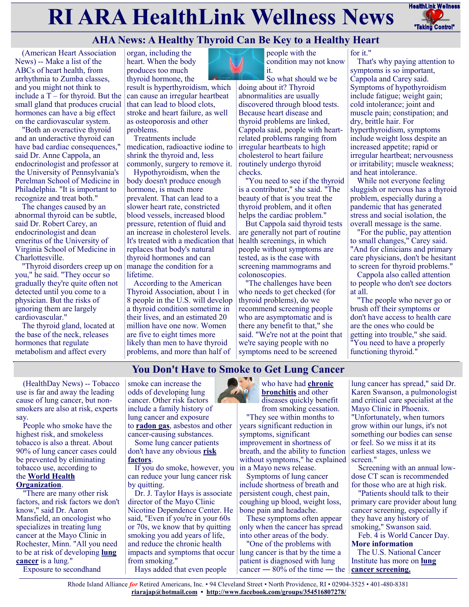# **RI ARA HealthLink Wellness News** Fractific Link Wellness



# **AHA News: A Healthy Thyroid Can Be Key to a Healthy Heart**

(American Heart Association News) -- Make a list of the ABCs of heart health, from arrhythmia to Zumba classes, and you might not think to include a  $T$  – for thyroid. But the small gland that produces crucial hormones can have a big effect on the cardiovascular system.

"Both an overactive thyroid and an underactive thyroid can have bad cardiac consequences," said Dr. Anne Cappola, an endocrinologist and professor at the University of Pennsylvania's Perelman School of Medicine in Philadelphia. "It is important to recognize and treat both."

The changes caused by an abnormal thyroid can be subtle, said Dr. Robert Carey, an endocrinologist and dean emeritus of the University of Virginia School of Medicine in Charlottesville.

"Thyroid disorders creep up on you," he said. "They occur so gradually they're quite often not detected until you come to a physician. But the risks of ignoring them are largely cardiovascular."

The thyroid gland, located at the base of the neck, releases hormones that regulate metabolism and affect every

organ, including the heart. When the body produces too much thyroid hormone, the

result is hyperthyroidism, which can cause an irregular heartbeat that can lead to blood clots, stroke and heart failure, as well as osteoporosis and other problems.

Treatments include medication, radioactive iodine to shrink the thyroid and, less commonly, surgery to remove it.

Hypothyroidism, when the body doesn't produce enough hormone, is much more prevalent. That can lead to a slower heart rate, constricted blood vessels, increased blood pressure, retention of fluid and an increase in cholesterol levels. It's treated with a medication that replaces that body's natural thyroid hormones and can manage the condition for a lifetime.

According to the American Thyroid Association, about 1 in 8 people in the U.S. will develop a thyroid condition sometime in their lives, and an estimated 20 million have one now. Women are five to eight times more likely than men to have thyroid problems, and more than half of



people with the condition may not know it.

So what should we be doing about it? Thyroid abnormalities are usually discovered through blood tests. Because heart disease and thyroid problems are linked, Cappola said, people with heartrelated problems ranging from irregular heartbeats to high cholesterol to heart failure routinely undergo thyroid checks.

"You need to see if the thyroid is a contributor," she said. "The beauty of that is you treat the thyroid problem, and it often helps the cardiac problem."

But Cappola said thyroid tests are generally not part of routine health screenings, in which people without symptoms are tested, as is the case with screening mammograms and colonoscopies.

"The challenges have been who needs to get checked (for thyroid problems), do we recommend screening people who are asymptomatic and is there any benefit to that," she said. "We're not at the point that we're saying people with no symptoms need to be screened

That's why paying attention to symptoms is so important, Cappola and Carey said. Symptoms of hypothyroidism include fatigue; weight gain; cold intolerance; joint and muscle pain; constipation; and dry, brittle hair. For hyperthyroidism, symptoms include weight loss despite an increased appetite; rapid or irregular heartbeat; nervousness or irritability; muscle weakness; and heat intolerance.

for it."

While not everyone feeling sluggish or nervous has a thyroid problem, especially during a pandemic that has generated stress and social isolation, the overall message is the same.

"For the public, pay attention to small changes," Carey said. "And for clinicians and primary care physicians, don't be hesitant to screen for thyroid problems."

Cappola also called attention to people who don't see doctors at all.

"The people who never go or brush off their symptoms or don't have access to health care are the ones who could be getting into trouble," she said. "You need to have a properly functioning thyroid."

# **You Don't Have to Smoke to Get Lung Cancer**

(HealthDay News) -- Tobacco use is far and away the leading cause of lung cancer, but nonsmokers are also at risk, experts say.

People who smoke have the highest risk, and smokeless tobacco is also a threat. About 90% of lung cancer cases could be prevented by eliminating tobacco use, according to the **[World Health](https://www.who.int/news-room/fact-sheets/detail/cancer)  [Organization](https://www.who.int/news-room/fact-sheets/detail/cancer)**.

"There are many other risk factors, and risk factors we don't know," said Dr. Aaron Mansfield, an oncologist who specializes in treating lung cancer at the Mayo Clinic in Rochester, Minn. "All you need to be at risk of developing **[lung](https://www.cancer.org/cancer/lung-cancer.html)  [cancer](https://www.cancer.org/cancer/lung-cancer.html)** is a lung."

Exposure to secondhand

smoke can increase the odds of developing lung cancer. Other risk factors include a family history of lung cancer and exposure to **[radon gas](https://www.cancer.org/cancer/cancer-causes/radiation-exposure/radon.html)**, asbestos and other cancer-causing substances.

Some lung cancer patients don't have any obvious **[risk](https://www.cdc.gov/cancer/lung/nonsmokers/index.htm)  [factors](https://www.cdc.gov/cancer/lung/nonsmokers/index.htm)**.

If you do smoke, however, you can reduce your lung cancer risk by quitting.

Dr. J. Taylor Hays is associate director of the Mayo Clinic Nicotine Dependence Center. He said, "Even if you're in your 60s or 70s, we know that by quitting smoking you add years of life, and reduce the chronic health impacts and symptoms that occur from smoking." Hays added that even people



from smoking cessation. "They see within months to

years significant reduction in symptoms, significant improvement in shortness of breath, and the ability to function without symptoms," he explained in a Mayo news release.

Symptoms of lung cancer include shortness of breath and persistent cough, chest pain, coughing up blood, weight loss, bone pain and headache.

These symptoms often appear only when the cancer has spread into other areas of the body.

"One of the problems with lung cancer is that by the time a patient is diagnosed with lung cancer —  $80\%$  of the time — the

lung cancer has spread," said Dr. Karen Swanson, a pulmonologist and critical care specialist at the Mayo Clinic in Phoenix. "Unfortunately, when tumors grow within our lungs, it's not something our bodies can sense or feel. So we miss it at its earliest stages, unless we screen."

Screening with an annual lowdose CT scan is recommended for those who are at high risk.

"Patients should talk to their primary care provider about lung cancer screening, especially if they have any history of smoking," Swanson said.

Feb. 4 is World Cancer Day. **More information**

 The U.S. National Cancer Institute has more on **[lung](https://www.cancer.gov/types/lung/patient/lung-screening-pdq)  [cancer screening.](https://www.cancer.gov/types/lung/patient/lung-screening-pdq)**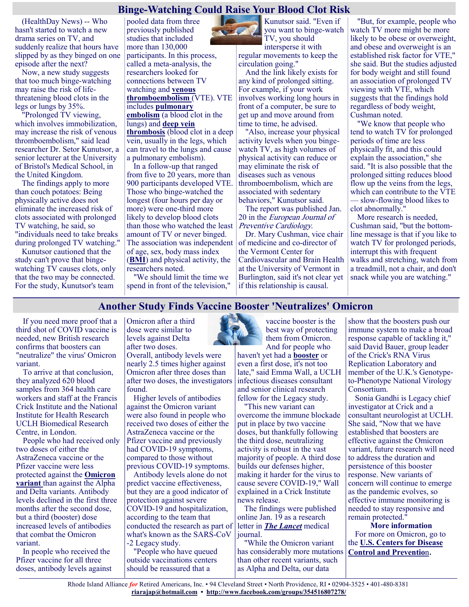#### **Binge-Watching Could Raise Your Blood Clot Risk**

(HealthDay News) -- Who hasn't started to watch a new drama series on TV, and suddenly realize that hours have slipped by as they binged on one episode after the next?

Now, a new study suggests that too much binge-watching may raise the risk of lifethreatening blood clots in the legs or lungs by 35%.

"Prolonged TV viewing, which involves immobilization, may increase the risk of venous thromboembolism," said lead researcher Dr. Setor Kunutsor, a senior lecturer at the University of Bristol's Medical School, in the United Kingdom.

The findings apply to more than couch potatoes: Being physically active does not eliminate the increased risk of clots associated with prolonged TV watching, he said, so "individuals need to take breaks during prolonged TV watching."

Kunutsor cautioned that the study can't prove that bingewatching TV causes clots, only that the two may be connected. For the study, Kunutsor's team

pooled data from three previously published studies that included more than 130,000 participants. In this process, called a meta-analysis, the researchers looked for connections between TV watching and **[venous](https://www.nhlbi.nih.gov/health-topics/venous-thromboembolism#:~:text=Venous%20thromboembolism%20(VTE)%20is%20a,leg%2C%20thigh%2C%20or%20pelvis.)  [thromboembolism](https://www.nhlbi.nih.gov/health-topics/venous-thromboembolism#:~:text=Venous%20thromboembolism%20(VTE)%20is%20a,leg%2C%20thigh%2C%20or%20pelvis.)** (VTE). VTE includes **[pulmonary](https://www.hopkinsmedicine.org/health/conditions-and-diseases/pulmonary-embolism#:~:text=A%20pulmonary%20embolism%20(PE)%20is,it%20suddenly%20blocks%20blood%20flow.)** 

**[embolism](https://www.hopkinsmedicine.org/health/conditions-and-diseases/pulmonary-embolism#:~:text=A%20pulmonary%20embolism%20(PE)%20is,it%20suddenly%20blocks%20blood%20flow.)** (a blood clot in the lungs) and **[deep vein](https://medlineplus.gov/deepveinthrombosis.html)  [thrombosis](https://medlineplus.gov/deepveinthrombosis.html)** (blood clot in a deep vein, usually in the legs, which can travel to the lungs and cause a pulmonary embolism).

In a follow-up that ranged from five to 20 years, more than 900 participants developed VTE. Those who binge-watched the longest (four hours per day or more) were one-third more likely to develop blood clots than those who watched the least amount of TV or never binged. The association was independent of age, sex, body mass index (**[BMI](https://www.nhlbi.nih.gov/health/educational/lose_wt/BMI/bmicalc.htm)**) and physical activity, the researchers noted.

"We should limit the time we spend in front of the television," Kunutsor said. "Even if you want to binge-watch TV, you should

intersperse it with regular movements to keep the circulation going."

And the link likely exists for any kind of prolonged sitting. For example, if your work involves working long hours in front of a computer, be sure to get up and move around from time to time, he advised.

"Also, increase your physical activity levels when you bingewatch TV, as high volumes of physical activity can reduce or may eliminate the risk of diseases such as venous thromboembolism, which are associated with sedentary behaviors," Kunutsor said.

The report was published Jan. 20 in the European Journal of Preventive Cardiology.

Dr. Mary Cushman, vice chair of medicine and co-director of the Vermont Center for Cardiovascular and Brain Health at the University of Vermont in Burlington, said it's not clear yet if this relationship is causal.

"But, for example, people who watch TV more might be more likely to be obese or overweight, and obese and overweight is an established risk factor for VTE," she said. But the studies adjusted for body weight and still found an association of prolonged TV viewing with VTE, which suggests that the findings hold regardless of body weight, Cushman noted.

"We know that people who tend to watch TV for prolonged periods of time are less physically fit, and this could explain the association," she said. "It is also possible that the prolonged sitting reduces blood flow up the veins from the legs, which can contribute to the VTE — slow-flowing blood likes to clot abnormally."

More research is needed, Cushman said, "but the bottomline message is that if you like to watch TV for prolonged periods, interrupt this with frequent walks and stretching, watch from a treadmill, not a chair, and don't snack while you are watching."

#### **Another Study Finds Vaccine Booster 'Neutralizes' Omicron**

If you need more proof that a third shot of COVID vaccine is needed, new British research confirms that boosters can "neutralize" the virus' Omicron variant.

To arrive at that conclusion, they analyzed 620 blood samples from 364 health care workers and staff at the Francis Crick Institute and the National Institute for Health Research UCLH Biomedical Research Centre, in London.

People who had received only two doses of either the AstraZeneca vaccine or the Pfizer vaccine were less protected against the **[Omicron](https://www.cdc.gov/coronavirus/2019-ncov/variants/omicron-variant.html)  [variant](https://www.cdc.gov/coronavirus/2019-ncov/variants/omicron-variant.html)** than against the Alpha and Delta variants. Antibody levels declined in the first three months after the second dose, but a third (booster) dose increased levels of antibodies that combat the Omicron variant.

In people who received the Pfizer vaccine for all three doses, antibody levels against Omicron after a third dose were similar to levels against Delta after two doses.

Overall, antibody levels were nearly 2.5 times higher against Omicron after three doses than after two doses, the investigators found.

Higher levels of antibodies against the Omicron variant were also found in people who received two doses of either the AstraZeneca vaccine or the Pfizer vaccine and previously had COVID-19 symptoms, compared to those without previous COVID-19 symptoms.

Antibody levels alone do not predict vaccine effectiveness, but they are a good indicator of protection against severe COVID-19 and hospitalization, according to the team that conducted the research as part of what's known as the SARS-CoV -2 Legacy study.

"People who have queued outside vaccinations centers should be reassured that a



vaccine booster is the best way of protecting them from Omicron. And for people who

haven't yet had a **[booster](https://www.cdc.gov/coronavirus/2019-ncov/vaccines/booster-shot.html?s_cid=11706:cdc%20covid%20booster:sem.ga:p:RG:GM:gen:PTN:FY22)** or even a first dose, it's not too late," said Emma Wall, a UCLH infectious diseases consultant and senior clinical research fellow for the Legacy study.

"This new variant can overcome the immune blockade put in place by two vaccine doses, but thankfully following the third dose, neutralizing activity is robust in the vast majority of people. A third dose builds our defenses higher, making it harder for the virus to cause severe COVID-19," Wall explained in a Crick Institute news release.

The findings were published online Jan. 19 as a research letter in *[The Lancet](https://www.thelancet.com/journals/lancet/article/PIIS0140-6736(22)00092-7/fulltext)* medical journal.

"While the Omicron variant has considerably more mutations than other recent variants, such as Alpha and Delta, our data

show that the boosters push our immune system to make a broad response capable of tackling it," said David Bauer, group leader of the Crick's RNA Virus Replication Laboratory and member of the U.K.'s Genotypeto-Phenotype National Virology Consortium.

Sonia Gandhi is Legacy chief investigator at Crick and a consultant neurologist at UCLH. She said, "Now that we have established that boosters are effective against the Omicron variant, future research will need to address the duration and persistence of this booster response. New variants of concern will continue to emerge as the pandemic evolves, so effective immune monitoring is needed to stay responsive and remain protected."

**More information** For more on Omicron, go to the **[U.S. Centers for Disease](https://www.cdc.gov/coronavirus/2019-ncov/variants/omicron-variant.html)  [Control and Preventio](https://www.cdc.gov/coronavirus/2019-ncov/variants/omicron-variant.html)**n.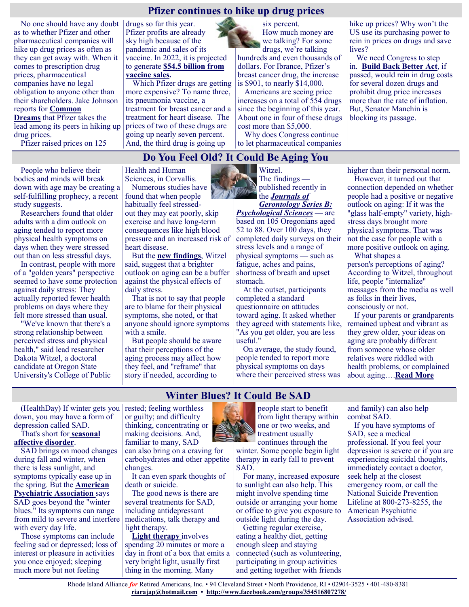#### **Pfizer continues to hike up drug prices**

No one should have any doubt as to whether Pfizer and other pharmaceutical companies will hike up drug prices as often as they can get away with. When it comes to prescription drug prices, pharmaceutical companies have no legal obligation to anyone other than their shareholders. Jake Johnson reports for **[Common](https://www.commondreams.org/news/2022/01/13/after-year-vaccine-profiteering-pfizer-hikes-prices-125-drugs)  [Dreams](https://www.commondreams.org/news/2022/01/13/after-year-vaccine-profiteering-pfizer-hikes-prices-125-drugs)** that Pfizer takes the

lead among its peers in hiking up drug prices.

Pfizer raised prices on 125

drugs so far this year. Pfizer profits are already sky high because of the pandemic and sales of its vaccine. In 2022, it is projected to generate **[\\$54.5 billion from](https://www.fiercepharma.com/pharma/pfizer-moderna-will-rake-a-combined-93-billion-next-year-covid-19-sales-says-analytics-group)  [vaccine sales.](https://www.fiercepharma.com/pharma/pfizer-moderna-will-rake-a-combined-93-billion-next-year-covid-19-sales-says-analytics-group)**

Which Pfizer drugs are getting more expensive? To name three, its pneumonia vaccine, a treatment for breast cancer and a treatment for heart disease. The prices of two of these drugs are going up nearly seven percent. And, the third drug is going up

six percent. How much money are we talking? For some drugs, we're talking

hundreds and even thousands of dollars. For Ibrance, Pfizer's breast cancer drug, the increase is \$901, to nearly \$14,000.

Americans are seeing price increases on a total of 554 drugs since the beginning of this year. About one in four of these drugs cost more than \$5,000.

Why does Congress continue to let pharmaceutical companies hike up prices? Why won't the US use its purchasing power to rein in prices on drugs and save lives?

We need Congress to step in. **[Build Back Better Act](https://justcareusa.org/us-house-passes-build-back-better-act/)**, if passed, would rein in drug costs for several dozen drugs and prohibit drug price increases more than the rate of inflation. But, Senator Manchin is blocking its passage.

# **Do You Feel Old? It Could Be Aging You**

People who believe their bodies and minds will break down with age may be creating a self-fulfilling prophecy, a recent study suggests.

Researchers found that older adults with a dim outlook on aging tended to report more physical health symptoms on days when they were stressed out than on less stressful days.

In contrast, people with more of a "golden years" perspective seemed to have some protection against daily stress: They actually reported fewer health problems on days where they felt more stressed than usual.

"We've known that there's a strong relationship between perceived stress and physical health," said lead researcher Dakota Witzel, a doctoral candidate at Oregon State University's College of Public Health and Human Sciences, in Corvallis.

Numerous studies have found that when people habitually feel stressedout they may eat poorly, skip exercise and have long-term consequences like high blood pressure and an increased risk of heart disease.

But the **[new findings](https://academic.oup.com/psychsocgerontology/article/76/10/1926/6076809?searchresult=1)**, Witzel said, suggest that a brighter outlook on aging can be a buffer against the physical effects of daily stress.

That is not to say that people are to blame for their physical symptoms, she noted, or that anyone should ignore symptoms with a smile.

But people should be aware that their perceptions of the aging process may affect how they feel, and "reframe" that story if needed, according to

Witzel. The findings published recently in the *[Journals of](https://academic.oup.com/psychsocgerontology/article/76/10/1926/6076809?searchresult=1)  [Gerontology Series B:](https://academic.oup.com/psychsocgerontology/article/76/10/1926/6076809?searchresult=1)* 

*[Psychological Sciences](https://academic.oup.com/psychsocgerontology/article/76/10/1926/6076809?searchresult=1)* — are based on 105 Oregonians aged 52 to 88. Over 100 days, they completed daily surveys on their stress levels and a range of physical symptoms — such as fatigue, aches and pains, shortness of breath and upset stomach.

At the outset, participants completed a standard questionnaire on attitudes toward aging. It asked whether they agreed with statements like, "As you get older, you are less useful."

On average, the study found, people tended to report more physical symptoms on days where their perceived stress was higher than their personal norm.

However, it turned out that connection depended on whether people had a positive or negative outlook on aging: If it was the "glass half-empty" variety, highstress days brought more physical symptoms. That was not the case for people with a more positive outlook on aging. What shapes a

person's [perceptions of aging?](https://journals.sagepub.com/doi/full/10.1177/0022022120925904)  According to Witzel, throughout life, people "internalize" messages from the media as well as folks in their lives, consciously or not.

If your parents or grandparents remained upbeat and vibrant as they grew older, your ideas on aging are probably different from someone whose older relatives were riddled with health problems, or complained about aging….**[Read More](https://www.usnews.com/news/health-news/articles/2022-01-18/do-you-feel-old-it-could-be-aging-you)**

#### **Winter Blues? It Could Be SAD**

(HealthDay) If winter gets you rested; feeling worthless down, you may have a form of depression called SAD.

That's short for **[seasonal](https://www.nimh.nih.gov/health/publications/seasonal-affective-disorder-sad-more-than-the-winter-blues)  [affective disorder](https://www.nimh.nih.gov/health/publications/seasonal-affective-disorder-sad-more-than-the-winter-blues)**.

SAD brings on mood changes during fall and winter, when there is less sunlight, and symptoms typically ease up in the spring. But the **[American](https://www.psychiatry.org/patients-families/depression/seasonal-affective-disorder)  [Psychiatric Association](https://www.psychiatry.org/patients-families/depression/seasonal-affective-disorder)** says SAD goes beyond the "winter blues." Its symptoms can range from mild to severe and interfere with every day life.

Those symptoms can include feeling sad or depressed; loss of interest or pleasure in activities you once enjoyed; sleeping much more but not feeling

or guilty; and difficulty thinking, concentrating or making decisions. And, familiar to many, SAD can also bring on a craving for

carbohydrates and other appetite changes.

It can even spark thoughts of death or suicide.

The good news is there are several treatments for SAD, including antidepressant medications, talk therapy and light therapy.

**[Light therapy](https://www.mayoclinic.org/diseases-conditions/seasonal-affective-disorder/in-depth/seasonal-affective-disorder-treatment/ART-20048298?p=1)** involves spending 20 minutes or more a day in front of a box that emits a very bright light, usually first thing in the morning. Many



people start to benefit from light therapy within one or two weeks, and treatment usually continues through the

winter. Some people begin light therapy in early fall to prevent SAD.

For many, increased exposure to sunlight can also help. This might involve spending time outside or arranging your home or office to give you exposure to outside light during the day.

Getting regular exercise, eating a healthy diet, getting enough sleep and staying connected (such as volunteering, participating in group activities and getting together with friends and family) can also help combat SAD.

If you have symptoms of SAD, see a medical professional. If you feel your depression is severe or if you are experiencing suicidal thoughts, immediately contact a doctor, seek help at the closest emergency room, or call the National Suicide Prevention Lifeline at 800-273-8255, the American Psychiatric Association advised.